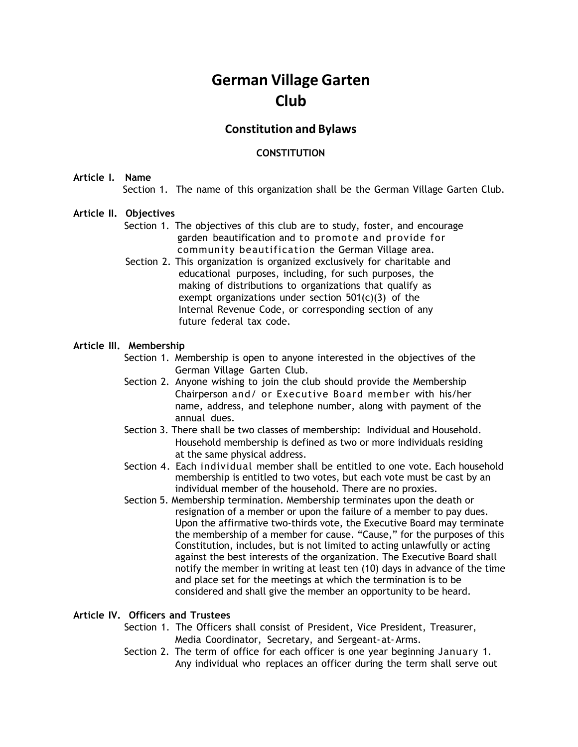# **German Village Garten Club**

## **Constitution and Bylaws**

## **CONSTITUTION**

#### **Article I. Name**

Section 1. The name of this organization shall be the German Village Garten Club.

#### **Article II. Objectives**

- Section 1. The objectives of this club are to study, foster, and encourage garden beautification and to promote and provide for community beautification the German Village area.
- Section 2. This organization is organized exclusively for charitable and educational purposes, including, for such purposes, the making of distributions to organizations that qualify as exempt organizations under section 501(c)(3) of the Internal Revenue Code, or corresponding section of any future federal tax code.

#### **Article III. Membership**

- Section 1. Membership is open to anyone interested in the objectives of the German Village Garten Club.
- Section 2. Anyone wishing to join the club should provide the Membership Chairperson and/ or Executive Board member with his/her name, address, and telephone number, along with payment of the annual dues.
- Section 3. There shall be two classes of membership: Individual and Household. Household membership is defined as two or more individuals residing at the same physical address.
- Section 4. Each individual member shall be entitled to one vote. Each household membership is entitled to two votes, but each vote must be cast by an individual member of the household. There are no proxies.
- Section 5. Membership termination. Membership terminates upon the death or resignation of a member or upon the failure of a member to pay dues. Upon the affirmative two-thirds vote, the Executive Board may terminate the membership of a member for cause. "Cause," for the purposes of this Constitution, includes, but is not limited to acting unlawfully or acting against the best interests of the organization. The Executive Board shall notify the member in writing at least ten (10) days in advance of the time and place set for the meetings at which the termination is to be considered and shall give the member an opportunity to be heard.

## **Article IV. Officers and Trustees**

- Section 1. The Officers shall consist of President, Vice President, Treasurer, Media Coordinator, Secretary, and Sergeant-at-Arms.
- Section 2. The term of office for each officer is one year beginning January 1. Any individual who replaces an officer during the term shall serve out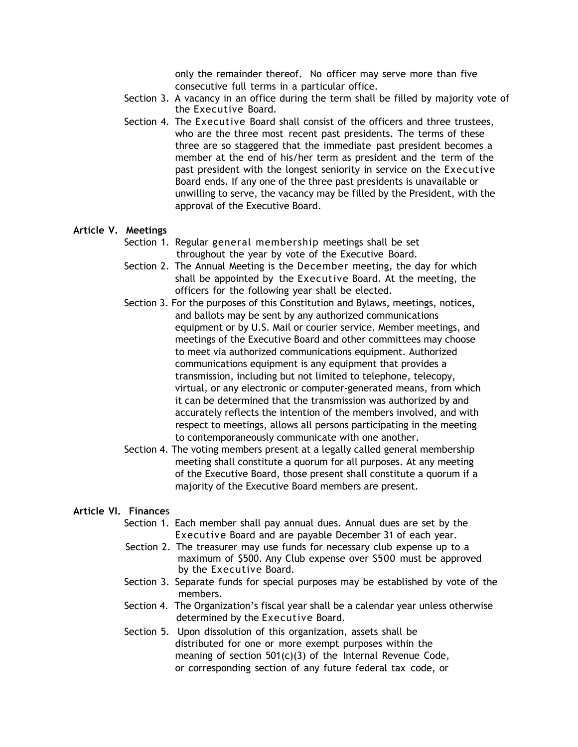only the remainder thereof. No officer may serve more than five consecutive full terms in a particular office.

- Section 3. A vacancy in an office during the term shall be filled by majority vote of the Executive Board.
- Section 4. The Executive Board shall consist of the officers and three trustees, who are the three most recent past presidents. The terms of these three are so staggered that the immediate past president becomes a member at the end of his/her term as president and the term of the past president with the longest seniority in service on the Executive Board ends. If any one of the three past presidents is unavailable or unwilling to serve, the vacancy may be filled by the President, with the approval of the Executive Board.

#### **Article V. Meetings**

- Section 1. Regular general membership meetings shall be set throughout the year by vote of the Executive Board.
- Section 2. The Annual Meeting is the December meeting, the day for which shall be appointed by the Executive Board. At the meeting, the officers for the following year shall be elected.
- Section 3. For the purposes of this Constitution and Bylaws, meetings, notices, and ballots may be sent by any authorized communications equipment or by U.S. Mail or courier service. Member meetings, and meetings of the Executive Board and other committees may choose to meet via authorized communications equipment. Authorized communications equipment is any equipment that provides a transmission, including but not limited to telephone, telecopy, virtual, or any electronic or computer-generated means, from which it can be determined that the transmission was authorized by and accurately reflects the intention of the members involved, and with respect to meetings, allows all persons participating in the meeting to contemporaneously communicate with one another.
- Section 4. The voting members present at a legally called general membership meeting shall constitute a quorum for all purposes. At any meeting of the Executive Board, those present shall constitute a quorum if a majority of the Executive Board members are present.

#### **Article VI. Finance**s

- Section 1. Each member shall pay annual dues. Annual dues are set by the Executive Board and are payable December 31 of each year.
- Section 2. The treasurer may use funds for necessary club expense up to a maximum of \$500. Any Club expense over \$500 must be approved by the Executive Board.
- Section 3. Separate funds for special purposes may be established by vote of the members.
- Section 4. The Organization's fiscal year shall be a calendar year unless otherwise determined by the Executive Board.
- Section 5. Upon dissolution of this organization, assets shall be distributed for one or more exempt purposes within the meaning of section 501(c)(3) of the Internal Revenue Code, or corresponding section of any future federal tax code, or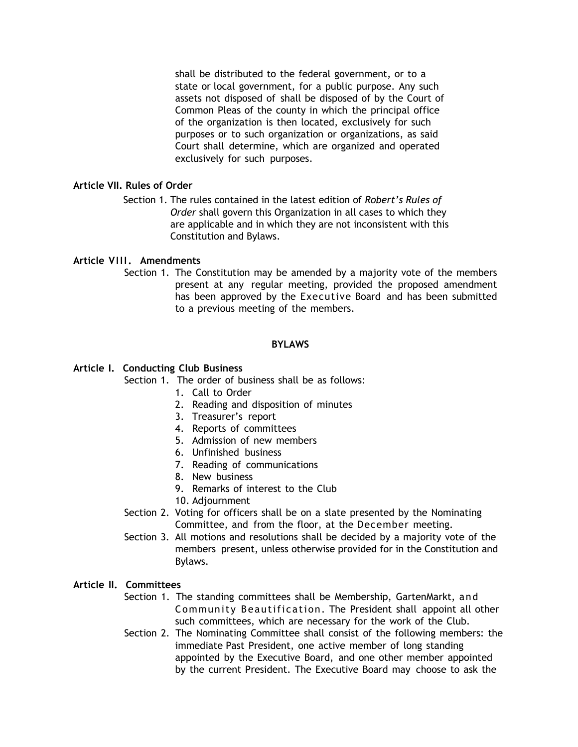shall be distributed to the federal government, or to a state or local government, for a public purpose. Any such assets not disposed of shall be disposed of by the Court of Common Pleas of the county in which the principal office of the organization is then located, exclusively for such purposes or to such organization or organizations, as said Court shall determine, which are organized and operated exclusively for such purposes.

## **Article VII. Rules of Order**

Section 1. The rules contained in the latest edition of *Robert's Rules of Order* shall govern this Organization in all cases to which they are applicable and in which they are not inconsistent with this Constitution and Bylaws.

## **Article VIII. Amendments**

Section 1. The Constitution may be amended by a majority vote of the members present at any regular meeting, provided the proposed amendment has been approved by the Executive Board and has been submitted to a previous meeting of the members.

## **BYLAWS**

## **Article I. Conducting Club Business**

Section 1. The order of business shall be as follows:

- 1. Call to Order
- 2. Reading and disposition of minutes
- 3. Treasurer's report
- 4. Reports of committees
- 5. Admission of new members
- 6. Unfinished business
- 7. Reading of communications
- 8. New business
- 9. Remarks of interest to the Club
- 10. Adjournment
- Section 2. Voting for officers shall be on a slate presented by the Nominating Committee, and from the floor, at the December meeting.
- Section 3. All motions and resolutions shall be decided by a majority vote of the members present, unless otherwise provided for in the Constitution and Bylaws.

## **Article II. Committees**

- Section 1. The standing committees shall be Membership, GartenMarkt, and Community Beautification. The President shall appoint all other such committees, which are necessary for the work of the Club.
- Section 2. The Nominating Committee shall consist of the following members: the immediate Past President, one active member of long standing appointed by the Executive Board, and one other member appointed by the current President. The Executive Board may choose to ask the